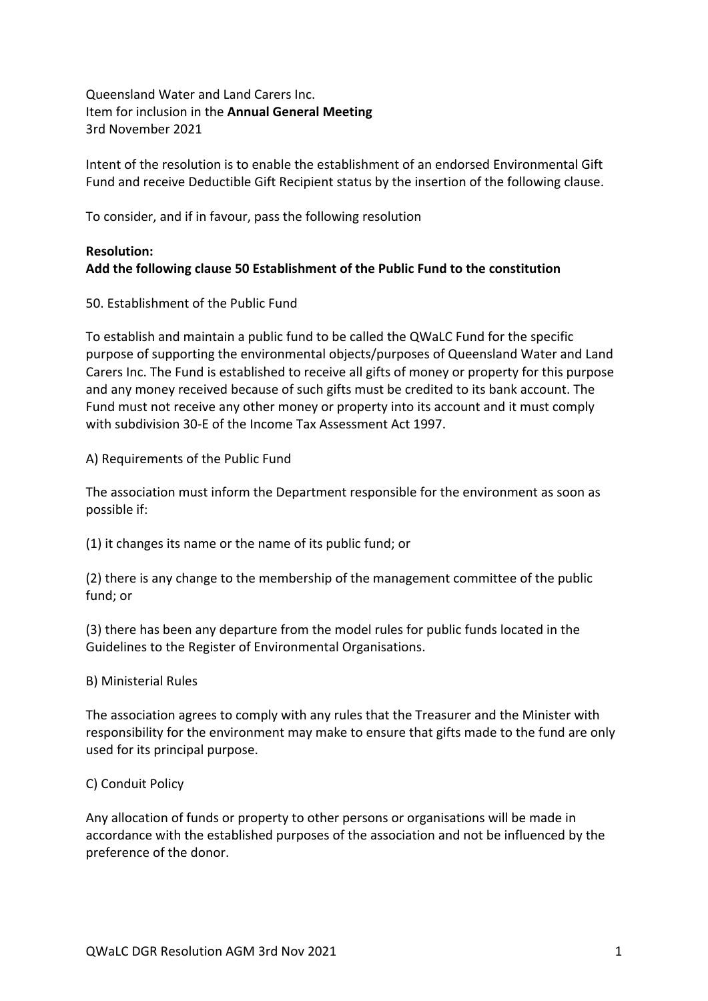Queensland Water and Land Carers Inc. Item for inclusion in the **Annual General Meeting** 3rd November 2021

Intent of the resolution is to enable the establishment of an endorsed Environmental Gift Fund and receive Deductible Gift Recipient status by the insertion of the following clause.

To consider, and if in favour, pass the following resolution

# **Resolution: Add the following clause 50 Establishment of the Public Fund to the constitution**

50. Establishment of the Public Fund

To establish and maintain a public fund to be called the QWaLC Fund for the specific purpose of supporting the environmental objects/purposes of Queensland Water and Land Carers Inc. The Fund is established to receive all gifts of money or property for this purpose and any money received because of such gifts must be credited to its bank account. The Fund must not receive any other money or property into its account and it must comply with subdivision 30-E of the Income Tax Assessment Act 1997.

A) Requirements of the Public Fund

The association must inform the Department responsible for the environment as soon as possible if:

(1) it changes its name or the name of its public fund; or

(2) there is any change to the membership of the management committee of the public fund; or

(3) there has been any departure from the model rules for public funds located in the Guidelines to the Register of Environmental Organisations.

## B) Ministerial Rules

The association agrees to comply with any rules that the Treasurer and the Minister with responsibility for the environment may make to ensure that gifts made to the fund are only used for its principal purpose.

## C) Conduit Policy

Any allocation of funds or property to other persons or organisations will be made in accordance with the established purposes of the association and not be influenced by the preference of the donor.